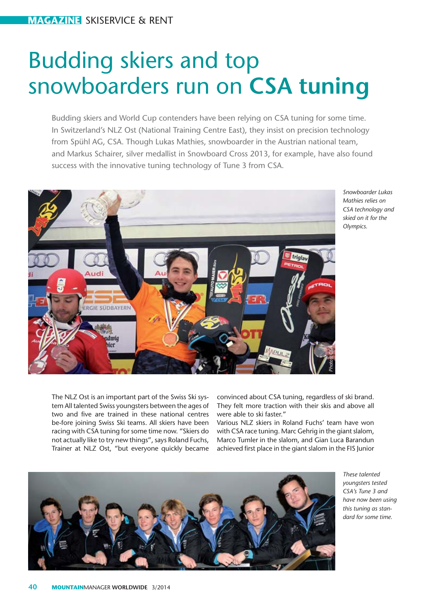# Budding skiers and top snowboarders run on **CSA tuning**

Budding skiers and World Cup contenders have been relying on CSA tuning for some time. In Switzerland's NLZ Ost (National Training Centre East), they insist on precision technology from Spühl AG, CSA. Though Lukas Mathies, snowboarder in the Austrian national team, and Markus Schairer, silver medallist in Snowboard Cross 2013, for example, have also found success with the innovative tuning technology of Tune 3 from CSA.



*Snowboarder Lukas Mathies relies on CSA technology and skied on it for the Olympics.* 

The NLZ Ost is an important part of the Swiss Ski system All talented Swiss youngsters between the ages of two and five are trained in these national centres be-fore joining Swiss Ski teams. All skiers have been racing with CSA tuning for some time now. "Skiers do not actually like to try new things", says Roland Fuchs, Trainer at NLZ Ost, "but everyone quickly became convinced about CSA tuning, regardless of ski brand. They felt more traction with their skis and above all were able to ski faster."

Various NLZ skiers in Roland Fuchs' team have won with CSA race tuning. Marc Gehrig in the giant slalom, Marco Tumler in the slalom, and Gian Luca Barandun achieved first place in the giant slalom in the FIS Junior



*These talented youngsters tested CSA's Tune 3 and have now been using this tuning as standard for some time.*